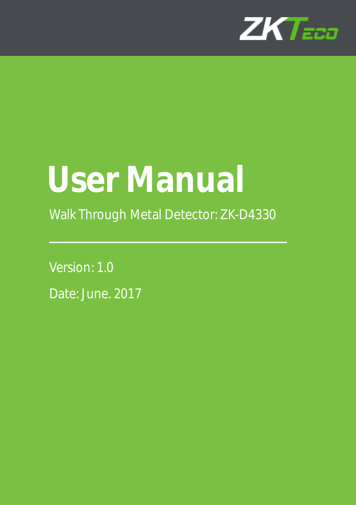

# **User Manual**

Walk Through Metal Detector: ZK-D4330

Version: 1.0 Date: June. 2017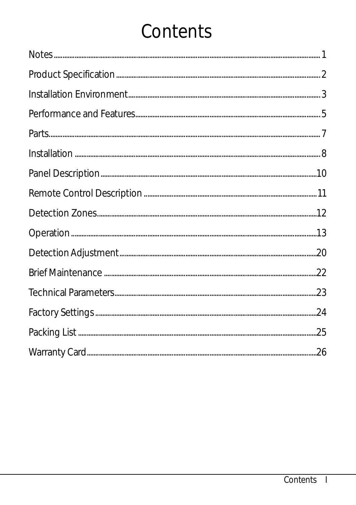## Contents

| $Notes. {\small \underline{\hspace{1.0cm} \text{Notes}}\hspace{1.0cm} \text{--} \hspace{1.0cm} \text{--} \hspace{1.0cm} \text{--} \hspace{1.0cm} \text{--} \hspace{1.0cm} \text{--} \hspace{1.0cm} \text{--} \hspace{1.0cm} \text{--} \hspace{1.0cm} \text{--} \hspace{1.0cm} \text{--} \hspace{1.0cm} \text{--} \hspace{1.0cm} \text{--} \hspace{1.0cm} \text{--} \hspace{1.0cm} \text{--} \hspace{1.0cm} \text{--} \hspace{$ |  |
|--------------------------------------------------------------------------------------------------------------------------------------------------------------------------------------------------------------------------------------------------------------------------------------------------------------------------------------------------------------------------------------------------------------------------------|--|
|                                                                                                                                                                                                                                                                                                                                                                                                                                |  |
|                                                                                                                                                                                                                                                                                                                                                                                                                                |  |
|                                                                                                                                                                                                                                                                                                                                                                                                                                |  |
|                                                                                                                                                                                                                                                                                                                                                                                                                                |  |
|                                                                                                                                                                                                                                                                                                                                                                                                                                |  |
|                                                                                                                                                                                                                                                                                                                                                                                                                                |  |
|                                                                                                                                                                                                                                                                                                                                                                                                                                |  |
|                                                                                                                                                                                                                                                                                                                                                                                                                                |  |
|                                                                                                                                                                                                                                                                                                                                                                                                                                |  |
|                                                                                                                                                                                                                                                                                                                                                                                                                                |  |
|                                                                                                                                                                                                                                                                                                                                                                                                                                |  |
|                                                                                                                                                                                                                                                                                                                                                                                                                                |  |
|                                                                                                                                                                                                                                                                                                                                                                                                                                |  |
|                                                                                                                                                                                                                                                                                                                                                                                                                                |  |
|                                                                                                                                                                                                                                                                                                                                                                                                                                |  |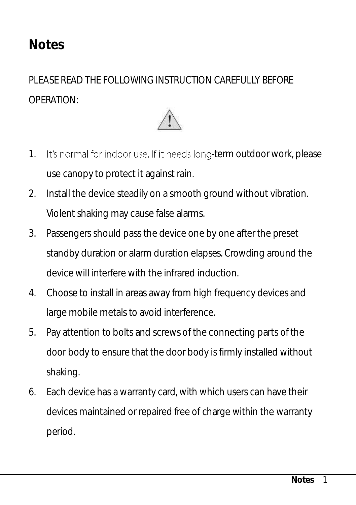## <span id="page-4-0"></span>**Notes**

PLEASE READ THE FOLLOWING INSTRUCTION CAREFULLY BEFORE OPERATION:



- 1. It's normal for indoor use. If it needs long-term outdoor work, please use canopy to protect it against rain.
- 2. Install the device steadily on a smooth ground without vibration. Violent shaking may cause false alarms.
- 3. Passengers should pass the device one by one after the preset standby duration or alarm duration elapses. Crowding around the device will interfere with the infrared induction.
- 4. Choose to install in areas away from high frequency devices and large mobile metals to avoid interference.
- 5. Pay attention to bolts and screws of the connecting parts of the door body to ensure that the door body is firmly installed without shaking.
- 6. Each device has a warranty card, with which users can have their devices maintained or repaired free of charge within the warranty period.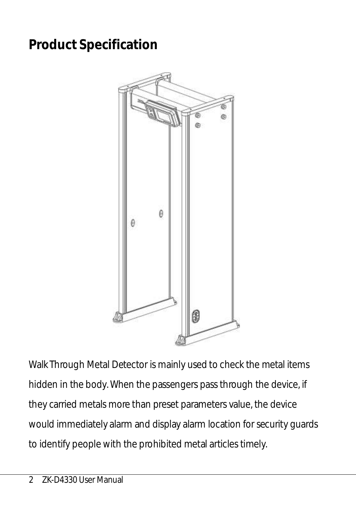## <span id="page-5-0"></span>**Product Specification**



Walk Through Metal Detector is mainly used to check the metal items hidden in the body. When the passengers pass through the device, if they carried metals more than preset parameters value, the device would immediately alarm and display alarm location for security guards to identify people with the prohibited metal articles timely.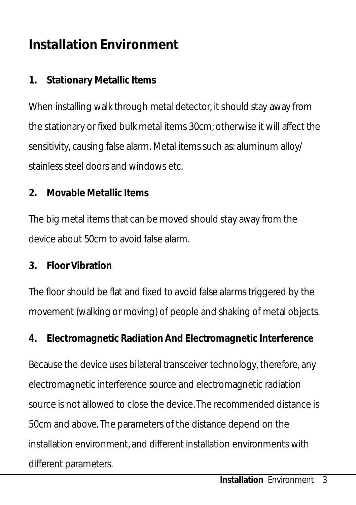## <span id="page-6-0"></span>**Installation Environment**

#### **1. Stationary Metallic Items**

When installing walk through metal detector, it should stay away from the stationary or fixed bulk metal items 30cm; otherwise it will affect the sensitivity, causing false alarm. Metal items such as: aluminum alloy/ stainless steel doors and windows etc.

**2. Movable Metallic Items**

The big metal items that can be moved should stay away from the device about 50cm to avoid false alarm.

**3. Floor Vibration**

The floor should be flat and fixed to avoid false alarms triggered by the movement (walking or moving) of people and shaking of metal objects.

**4. Electromagnetic Radiation And Electromagnetic Interference**

Because the device uses bilateral transceiver technology, therefore, any electromagnetic interference source and electromagnetic radiation source is not allowed to close the device. The recommended distance is 50cm and above. The parameters of the distance depend on the installation environment, and different installation environments with different parameters.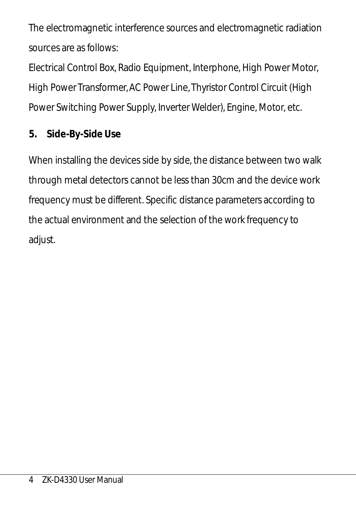The electromagnetic interference sources and electromagnetic radiation sources are as follows:

Electrical Control Box, Radio Equipment, Interphone, High Power Motor, High Power Transformer, AC Power Line, Thyristor Control Circuit (High Power Switching Power Supply, Inverter Welder), Engine, Motor, etc.

#### **5. Side-By-Side Use**

When installing the devices side by side, the distance between two walk through metal detectors cannot be less than 30cm and the device work frequency must be different. Specific distance parameters according to the actual environment and the selection of the work frequency to adiust.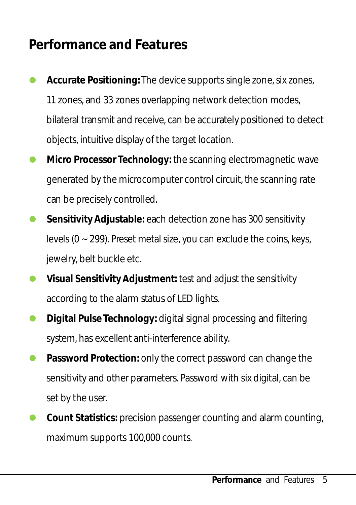## <span id="page-8-0"></span>**Performance and Features**

- **Accurate Positioning:** The device supports single zone, six zones, 11 zones, and 33 zones overlapping network detection modes, bilateral transmit and receive, can be accurately positioned to detect objects, intuitive display of the target location.
- **Micro Processor Technology:** the scanning electromagnetic wave generated by the microcomputer control circuit, the scanning rate can be precisely controlled.
- **Sensitivity Adjustable:** each detection zone has 300 sensitivity levels ( $0 \sim 299$ ). Preset metal size, you can exclude the coins, keys, jewelry, belt buckle etc.
- **Visual Sensitivity Adjustment:** test and adjust the sensitivity according to the alarm status of LED lights.
- **Digital Pulse Technology:** digital signal processing and filtering system, has excellent anti-interference ability.
- **Password Protection: only the correct password can change the** sensitivity and other parameters. Password with six digital, can be set by the user.
- **Count Statistics:** precision passenger counting and alarm counting, maximum supports 100,000 counts.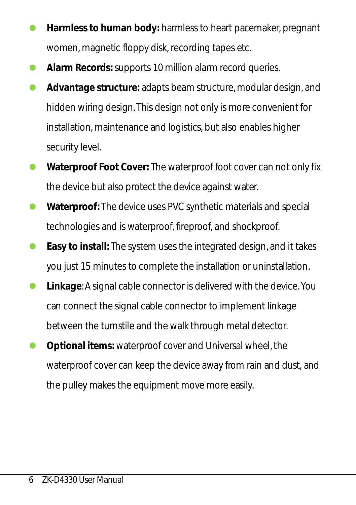- **Harmless to human body:** harmless to heart pacemaker, pregnant women, magnetic floppy disk, recording tapes etc.
- **Alarm Records:** supports 10 million alarm record queries.
- **Advantage structure:** adapts beam structure, modular design, and hidden wiring design. This design not only is more convenient for installation, maintenance and logistics, but also enables higher security level.
- **Waterproof Foot Cover:** The waterproof foot cover can not only fix the device but also protect the device against water.
- **Waterproof:** The device uses PVC synthetic materials and special technologies and is waterproof, fireproof, and shockproof.
- **Easy to install:** The system uses the integrated design, and it takes you just 15 minutes to complete the installation or uninstallation.
- **Linkage**: A signal cable connector is delivered with the device. You can connect the signal cable connector to implement linkage between the turnstile and the walk through metal detector.
- **Optional items:** waterproof cover and Universal wheel, the waterproof cover can keep the device away from rain and dust, and the pulley makes the equipment move more easily.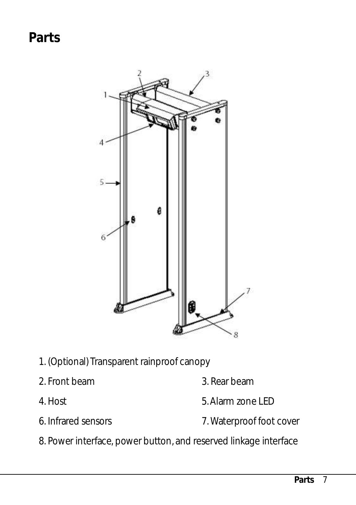<span id="page-10-0"></span>**Parts**



- 1. (Optional) Transparent rainproof canopy
- 
- 
- 
- 2. Front beam 3. Rear beam
- 4. Host 5. Alarm zone LED
- 6. Infrared sensors 7. Waterproof foot cover
- 8. Power interface, power button, and reserved linkage interface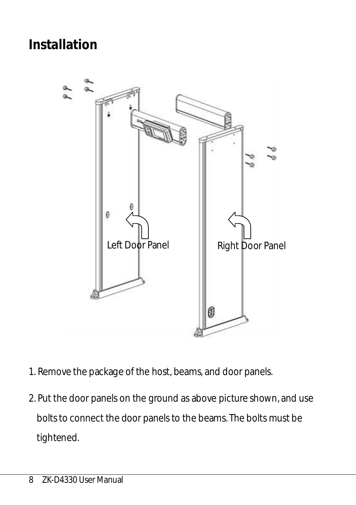## <span id="page-11-0"></span>**Installation**



- 1. Remove the package of the host, beams, and door panels.
- 2. Put the door panels on the ground as above picture shown, and use bolts to connect the door panels to the beams. The bolts must be tightened.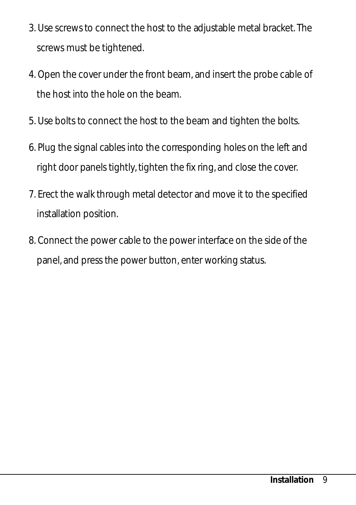- 3. Use screws to connect the host to the adjustable metal bracket. The screws must be tightened.
- 4. Open the cover under the front beam, and insert the probe cable of the host into the hole on the beam.
- 5. Use bolts to connect the host to the beam and tighten the bolts.
- 6. Plug the signal cables into the corresponding holes on the left and right door panels tightly, tighten the fix ring, and close the cover.
- 7. Erect the walk through metal detector and move it to the specified installation position.
- 8. Connect the power cable to the power interface on the side of the panel, and press the power button, enter working status.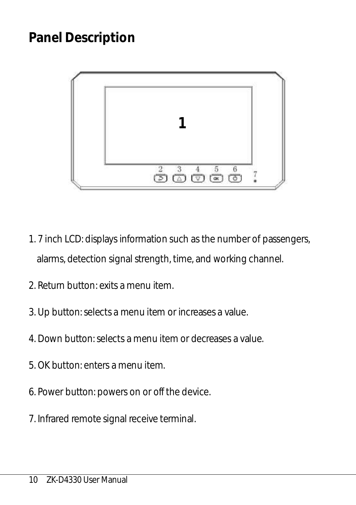## <span id="page-13-0"></span>**Panel Description**



- 1. 7 inch LCD: displays information such as the number of passengers, alarms, detection signal strength, time, and working channel.
- 2. Return button: exits a menu item.
- 3. Up button: selects a menu item or increases a value.
- 4. Down button: selects a menu item or decreases a value.
- 5. OK button: enters a menu item.
- 6. Power button: powers on or off the device.
- 7. Infrared remote signal receive terminal.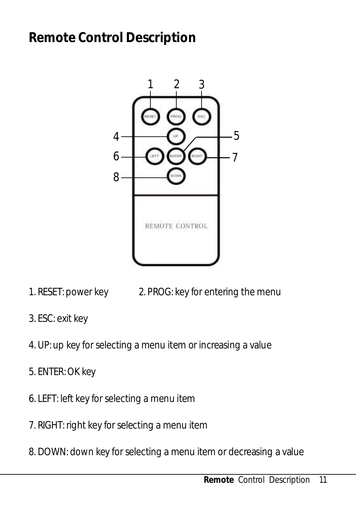## <span id="page-14-0"></span>**Remote Control Description**



- 1. RESET: power key 2. PROG: key for entering the menu
- 3. ESC: exit key
- 4. UP: up key for selecting a menu item or increasing a value
- 5. ENTER: OK key
- 6. LEFT: left key for selecting a menu item
- 7. RIGHT: right key for selecting a menu item
- 8. DOWN: down key for selecting a menu item or decreasing a value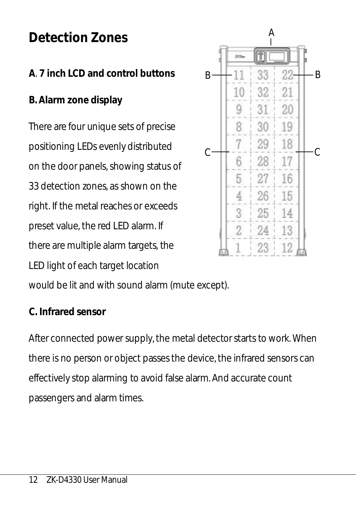## <span id="page-15-0"></span>**Detection Zones**

#### **A**. **7 inch LCD and control buttons**

**B. Alarm zone display**

There are four unique sets of precise positioning LEDs evenly distributed on the door panels, showing status of 33 detection zones, as shown on the right. If the metal reaches or exceeds preset value, the red LED alarm. If there are multiple alarm targets, the LED light of each target location



would be lit and with sound alarm (mute except).

#### **C. Infrared sensor**

After connected power supply, the metal detector starts to work. When there is no person or object passes the device, the infrared sensors can effectively stop alarming to avoid false alarm. And accurate count passengers and alarm times.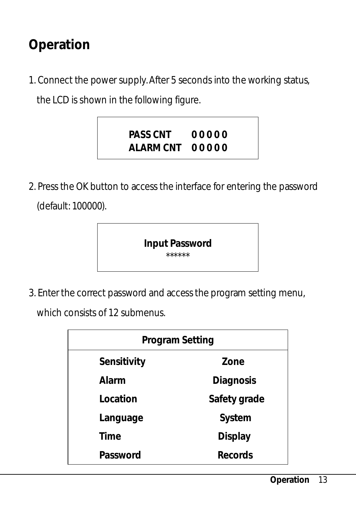## <span id="page-16-0"></span>**Operation**

1. Connect the power supply. After 5 seconds into the working status, the LCD is shown in the following figure.



2. Press the OK button to access the interface for entering the password (default: 100000).

> **Input Password** \*\*\*\*\*\*

3. Enter the correct password and access the program setting menu,

which consists of 12 submenus.

| Program Setting |              |
|-----------------|--------------|
| Sensitivity     | Zone         |
| Alarm           | Diagnosis    |
| Location        | Safety grade |
| Language        | System       |
| Time            | Display      |
| Password        | Records      |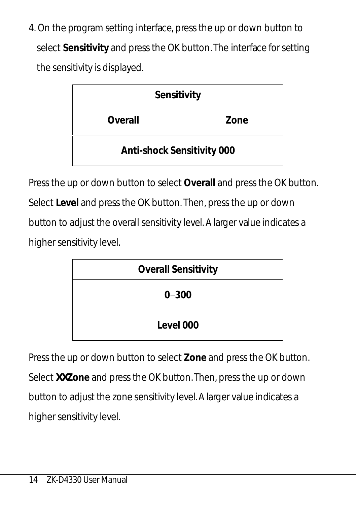4. On the program setting interface, press the up or down button to select **Sensitivity** and press the OK button. The interface for setting the sensitivity is displayed.

| Sensitivity                |      |
|----------------------------|------|
| Overall                    | Zone |
| Anti-shock Sensitivity 000 |      |

Press the up or down button to select **Overall** and press the OK button. Select **Level** and press the OK button. Then, press the up or down button to adjust the overall sensitivity level. A larger value indicates a higher sensitivity level.

| Overall Sensitivity |
|---------------------|
| $0 - 300$           |
| Level 000           |

Press the up or down button to select **Zone** and press the OK button. Select *XX***Zone** and press the OK button. Then, press the up or down button to adjust the zone sensitivity level. A larger value indicates a higher sensitivity level.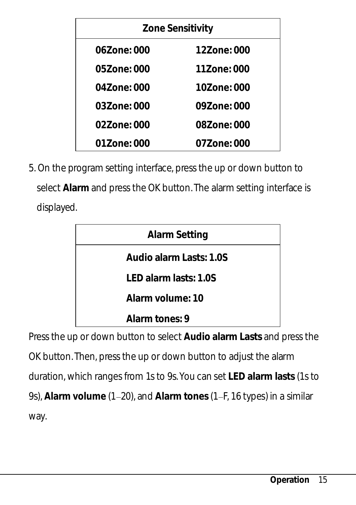| Zone Sensitivity |             |
|------------------|-------------|
| 067one: 000      | 127one: 000 |
| 057one: 000      | 11Zone: 000 |
| 04Zone: 000      | 10Zone: 000 |
| 037one: 000      | 097one: 000 |
| 02Zone: 000      | 087one: 000 |
| 01Zone: 000      | 07Zone: 000 |

5. On the program setting interface, press the up or down button to select **Alarm** and press the OK button. The alarm setting interface is displayed.

| Alarm Setting           |  |
|-------------------------|--|
| Audio alarm Lasts: 1.0S |  |
| LED alarm lasts: 1.0S   |  |
| Alarm volume: 10        |  |
| Alarm tones: 9          |  |

Press the up or down button to select **Audio alarm Lasts** and press the OK button. Then, press the up or down button to adjust the alarm duration, which ranges from 1s to 9s. You can set **LED alarm lasts** (1s to 9s), Alarm volume (1-20), and Alarm tones (1-F, 16 types) in a similar way.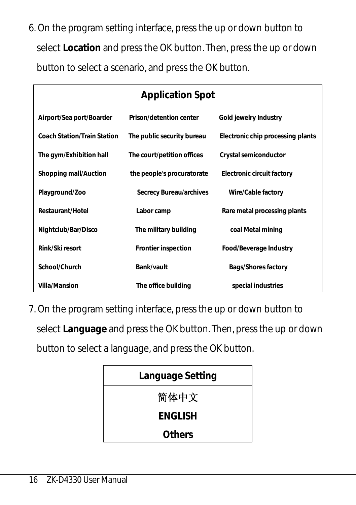6. On the program setting interface, press the up or down button to select **Location** and press the OK button. Then, press the up or down button to select a scenario, and press the OK button.

| <b>Application Spot</b>     |                            |                                   |
|-----------------------------|----------------------------|-----------------------------------|
| Airport/Sea port/Boarder    | Prison/detention center    | Gold jewelry Industry             |
| Coach Station/Train Station | The public security bureau | Electronic chip processing plants |
| The gym/Exhibition hall     | The court/petition offices | Crystal semiconductor             |
| Shopping mall/Auction       | the people's procuratorate | Electronic circuit factory        |
| Playground/Zoo              | Secrecy Bureau/archives    | Wire/Cable factory                |
| Restaurant/Hotel            | Labor camp                 | Rare metal processing plants      |
| Nightclub/Bar/Disco         | The military building      | coal Metal mining                 |
| Rink/Ski resort             | Frontier inspection        | Food/Beverage Industry            |
| School/Church               | Bank/vault                 | Bags/Shores factory               |
| Villa/Mansion               | The office building        | special industries                |

7. On the program setting interface, press the up or down button to select **Language** and press the OK button. Then, press the up or down button to select a language, and press the OK button.

| Language Setting |
|------------------|
| 简体中文             |
| ENGLISH          |
| Others           |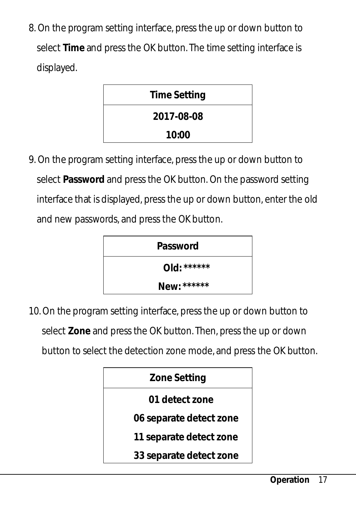8. On the program setting interface, press the up or down button to select **Time** and press the OK button. The time setting interface is displayed.



9. On the program setting interface, press the up or down button to select **Password** and press the OK button. On the password setting interface that is displayed, press the up or down button, enter the old and new passwords, and press the OK button.



10. On the program setting interface, press the up or down button to select **Zone** and press the OK button. Then, press the up or down button to select the detection zone mode, and press the OK button.

| Zone Setting            |
|-------------------------|
| 01 detect zone          |
| 06 separate detect zone |
| 11 separate detect zone |
| 33 separate detect zone |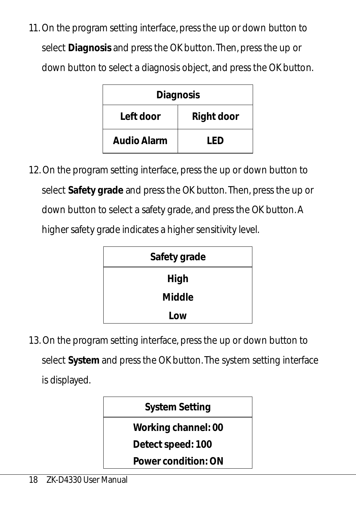11. On the program setting interface, press the up or down button to select **Diagnosis** and press the OK button. Then, press the up or down button to select a diagnosis object, and press the OK button.

| Diagnosis   |            |
|-------------|------------|
| Left door   | Right door |
| Audio Alarm | F          |

12. On the program setting interface, press the up or down button to select **Safety grade** and press the OK button. Then, press the up or down button to select a safety grade, and press the OK button. A higher safety grade indicates a higher sensitivity level.



13. On the program setting interface, press the up or down button to select **System** and press the OK button. The system setting interface is displayed.

| System Setting      |
|---------------------|
| Working channel: 00 |
| Detect speed: 100   |
| Power condition: ON |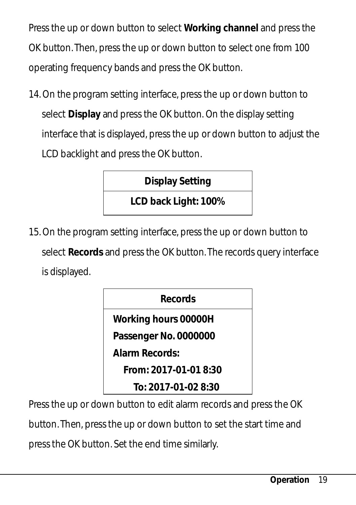Press the up or down button to select **Working channel** and press the OK button. Then, press the up or down button to select one from 100 operating frequency bands and press the OK button.

14. On the program setting interface, press the up or down button to select **Display** and press the OK button. On the display setting interface that is displayed, press the up or down button to adjust the LCD backlight and press the OK button.

**Display Setting**

**LCD back Light: 100%**

15. On the program setting interface, press the up or down button to select **Records** and press the OK button. The records query interface is displayed.

**Records**

**Working hours 00000H**

**Passenger No. 0000000**

**Alarm Records:**

**From: 2017-01-01 8:30**

**To: 2017-01-02 8:30**

Press the up or down button to edit alarm records and press the OK

button. Then, press the up or down button to set the start time and

press the OK button. Set the end time similarly.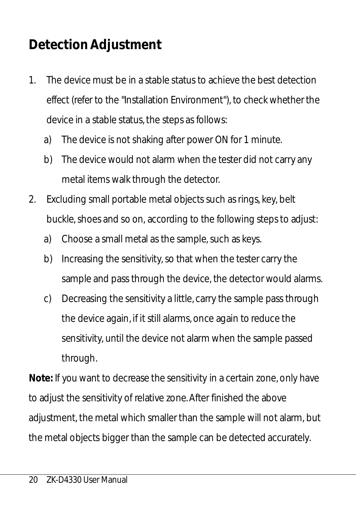## <span id="page-23-0"></span>**Detection Adjustment**

- 1. The device must be in a stable status to achieve the best detection effect (refer to the "Installation Environment"), to check whether the device in a stable status, the steps as follows:
	- a) The device is not shaking after power ON for 1 minute.
	- b) The device would not alarm when the tester did not carry any metal items walk through the detector.
- 2. Excluding small portable metal objects such as rings, key, belt buckle, shoes and so on, according to the following steps to adjust:
	- a) Choose a small metal as the sample, such as keys.
	- b) Increasing the sensitivity, so that when the tester carry the sample and pass through the device, the detector would alarms.
	- c) Decreasing the sensitivity a little, carry the sample pass through the device again, if it still alarms, once again to reduce the sensitivity, until the device not alarm when the sample passed through.

**Note:** If you want to decrease the sensitivity in a certain zone, only have to adjust the sensitivity of relative zone. After finished the above adjustment, the metal which smaller than the sample will not alarm, but the metal objects bigger than the sample can be detected accurately.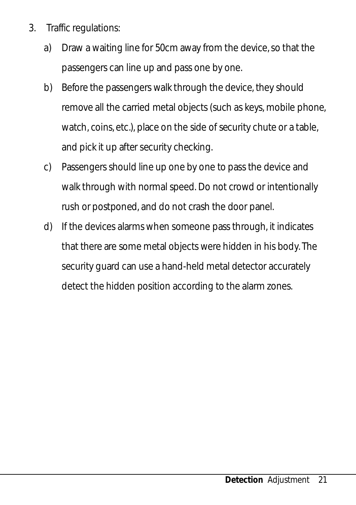- 3. Traffic regulations:
	- a) Draw a waiting line for 50cm away from the device, so that the passengers can line up and pass one by one.
	- b) Before the passengers walk through the device, they should remove all the carried metal objects (such as keys, mobile phone, watch, coins, etc.), place on the side of security chute or a table, and pick it up after security checking.
	- c) Passengers should line up one by one to pass the device and walk through with normal speed. Do not crowd or intentionally rush or postponed, and do not crash the door panel.
	- d) If the devices alarms when someone pass through, it indicates that there are some metal objects were hidden in his body. The security guard can use a hand-held metal detector accurately detect the hidden position according to the alarm zones.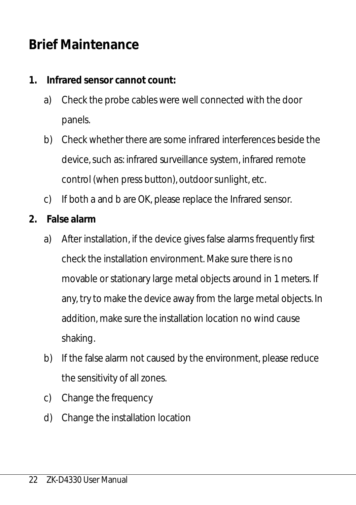## <span id="page-25-0"></span>**Brief Maintenance**

- **1. Infrared sensor cannot count:**
	- a) Check the probe cables were well connected with the door panels.
	- b) Check whether there are some infrared interferences beside the device, such as: infrared surveillance system, infrared remote control (when press button), outdoor sunlight, etc.
	- c) If both a and b are OK, please replace the Infrared sensor.
- **2. False alarm**
	- a) After installation, if the device gives false alarms frequently first check the installation environment. Make sure there is no movable or stationary large metal objects around in 1 meters. If any, try to make the device away from the large metal objects. In addition, make sure the installation location no wind cause shaking.
	- b) If the false alarm not caused by the environment, please reduce the sensitivity of all zones.
	- c) Change the frequency
	- d) Change the installation location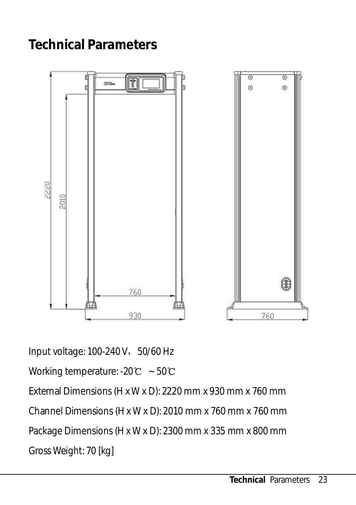## <span id="page-26-0"></span>**Technical Parameters**



Input voltage: 100-240 V, 50/60 Hz

Working temperature: -20℃ ~ 50℃

External Dimensions (H x W x D): 2220 mm x 930 mm x 760 mm Channel Dimensions (H x W x D): 2010 mm x 760 mm x 760 mm Package Dimensions (H x W x D): 2300 mm x 335 mm x 800 mm Gross Weight: 70 [kg]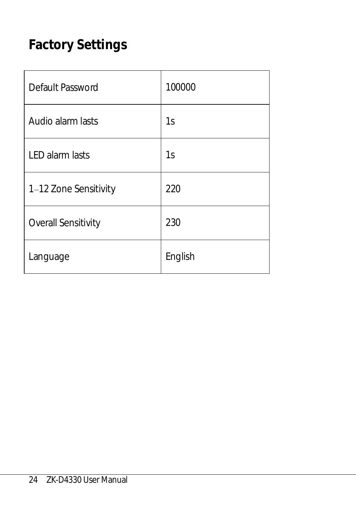## <span id="page-27-0"></span>**Factory Settings**

| Default Password           | 100000  |
|----------------------------|---------|
| Audio alarm lasts          | 1s      |
| <b>LED</b> alarm lasts     | 1s      |
| 1-12 Zone Sensitivity      | 220     |
| <b>Overall Sensitivity</b> | 230     |
| Language                   | English |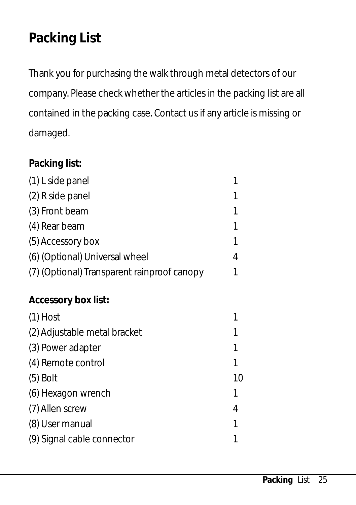## <span id="page-28-0"></span>**Packing List**

Thank you for purchasing the walk through metal detectors of our company. Please check whether the articles in the packing list are all contained in the packing case. Contact us if any article is missing or damaged.

#### **Packing list:**

| (1) L side panel                            | 1 |
|---------------------------------------------|---|
| (2) R side panel                            | 1 |
| (3) Front beam                              | 1 |
| (4) Rear beam                               | 1 |
| (5) Accessory box                           | 1 |
| (6) (Optional) Universal wheel              | 4 |
| (7) (Optional) Transparent rainproof canopy | 1 |
| Accessory box list:                         |   |

 $(1)$  Host 1 (2) Adjustable metal bracket 1 (3) Power adapter 1 (4) Remote control 1 (5) Bolt 10 (6) Hexagon wrench 1 (7) Allen screw 4 (8) User manual 1 (9) Signal cable connector 1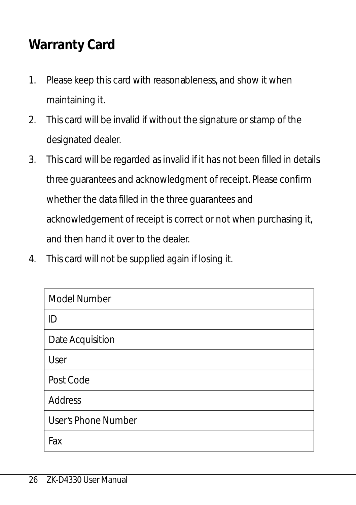## <span id="page-29-0"></span>**Warranty Card**

- 1. Please keep this card with reasonableness, and show it when maintaining it.
- 2. This card will be invalid if without the signature or stamp of the designated dealer.
- 3. This card will be regarded as invalid if it has not been filled in details three guarantees and acknowledgment of receipt. Please confirm whether the data filled in the three guarantees and acknowledgement of receipt is correct or not when purchasing it, and then hand it over to the dealer.
- 4. This card will not be supplied again if losing it.

| Model Number        |  |
|---------------------|--|
| ID                  |  |
| Date Acquisition    |  |
| User                |  |
| Post Code           |  |
| Address             |  |
| User's Phone Number |  |
| Fax                 |  |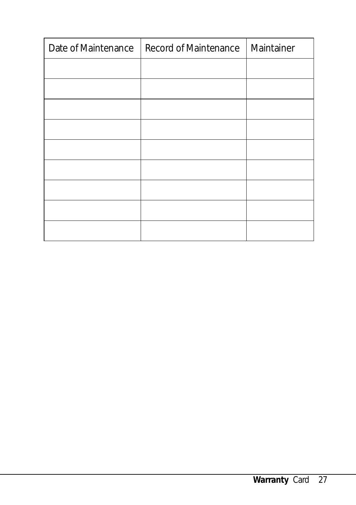| Date of Maintenance | Record of Maintenance | Maintainer |
|---------------------|-----------------------|------------|
|                     |                       |            |
|                     |                       |            |
|                     |                       |            |
|                     |                       |            |
|                     |                       |            |
|                     |                       |            |
|                     |                       |            |
|                     |                       |            |
|                     |                       |            |